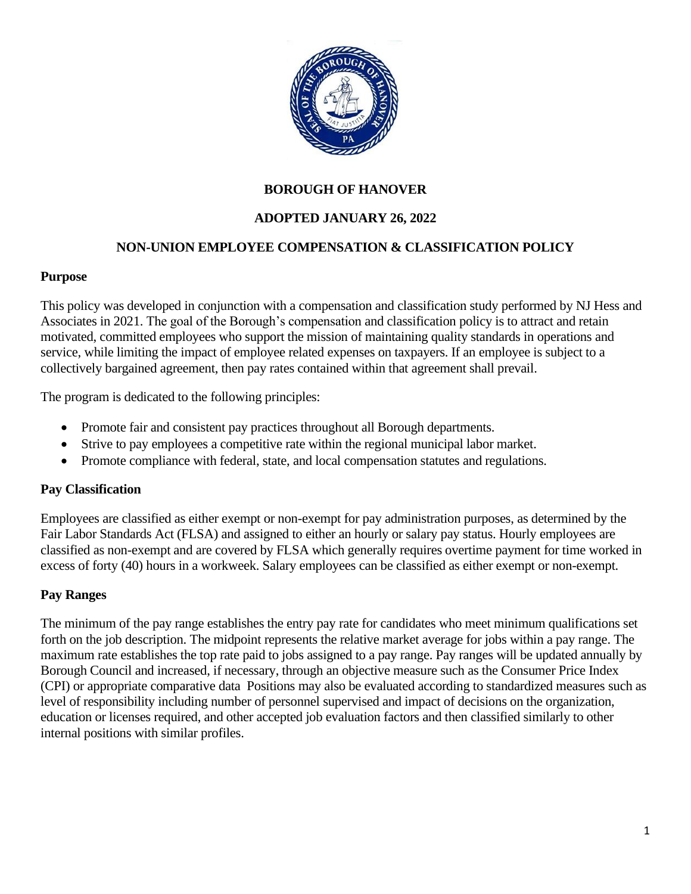

# **BOROUGH OF HANOVER**

# **ADOPTED JANUARY 26, 2022**

### **NON-UNION EMPLOYEE COMPENSATION & CLASSIFICATION POLICY**

#### **Purpose**

This policy was developed in conjunction with a compensation and classification study performed by NJ Hess and Associates in 2021. The goal of the Borough's compensation and classification policy is to attract and retain motivated, committed employees who support the mission of maintaining quality standards in operations and service, while limiting the impact of employee related expenses on taxpayers. If an employee is subject to a collectively bargained agreement, then pay rates contained within that agreement shall prevail.

The program is dedicated to the following principles:

- Promote fair and consistent pay practices throughout all Borough departments.
- Strive to pay employees a competitive rate within the regional municipal labor market.
- Promote compliance with federal, state, and local compensation statutes and regulations.

### **Pay Classification**

Employees are classified as either exempt or non-exempt for pay administration purposes, as determined by the Fair Labor Standards Act (FLSA) and assigned to either an hourly or salary pay status. Hourly employees are classified as non-exempt and are covered by FLSA which generally requires overtime payment for time worked in excess of forty (40) hours in a workweek. Salary employees can be classified as either exempt or non-exempt.

### **Pay Ranges**

The minimum of the pay range establishes the entry pay rate for candidates who meet minimum qualifications set forth on the job description. The midpoint represents the relative market average for jobs within a pay range. The maximum rate establishes the top rate paid to jobs assigned to a pay range. Pay ranges will be updated annually by Borough Council and increased, if necessary, through an objective measure such as the Consumer Price Index (CPI) or appropriate comparative data Positions may also be evaluated according to standardized measures such as level of responsibility including number of personnel supervised and impact of decisions on the organization, education or licenses required, and other accepted job evaluation factors and then classified similarly to other internal positions with similar profiles.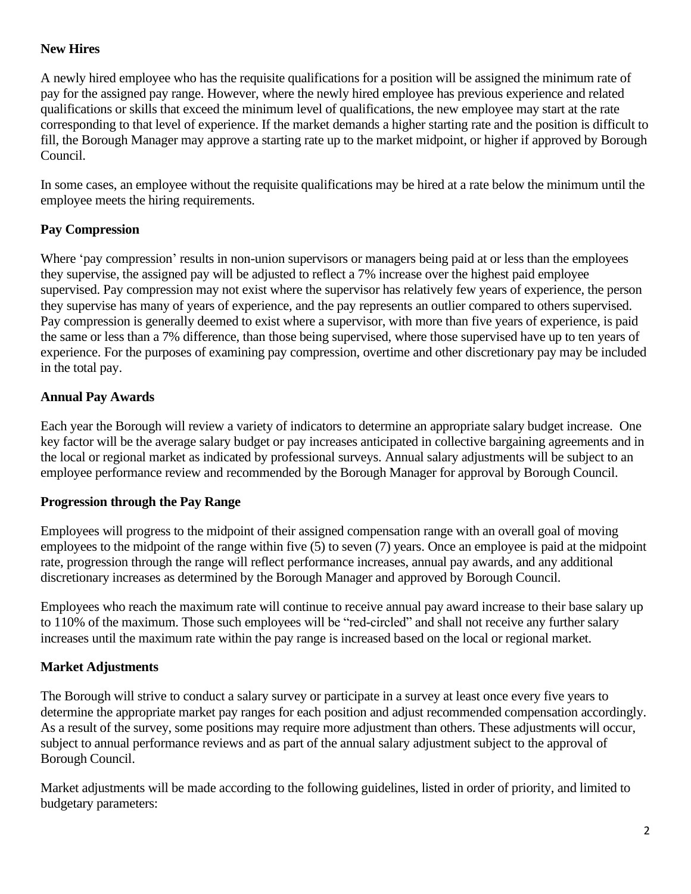# **New Hires**

A newly hired employee who has the requisite qualifications for a position will be assigned the minimum rate of pay for the assigned pay range. However, where the newly hired employee has previous experience and related qualifications or skills that exceed the minimum level of qualifications, the new employee may start at the rate corresponding to that level of experience. If the market demands a higher starting rate and the position is difficult to fill, the Borough Manager may approve a starting rate up to the market midpoint, or higher if approved by Borough Council.

In some cases, an employee without the requisite qualifications may be hired at a rate below the minimum until the employee meets the hiring requirements.

### **Pay Compression**

Where 'pay compression' results in non-union supervisors or managers being paid at or less than the employees they supervise, the assigned pay will be adjusted to reflect a 7% increase over the highest paid employee supervised. Pay compression may not exist where the supervisor has relatively few years of experience, the person they supervise has many of years of experience, and the pay represents an outlier compared to others supervised. Pay compression is generally deemed to exist where a supervisor, with more than five years of experience, is paid the same or less than a 7% difference, than those being supervised, where those supervised have up to ten years of experience. For the purposes of examining pay compression, overtime and other discretionary pay may be included in the total pay.

### **Annual Pay Awards**

Each year the Borough will review a variety of indicators to determine an appropriate salary budget increase. One key factor will be the average salary budget or pay increases anticipated in collective bargaining agreements and in the local or regional market as indicated by professional surveys. Annual salary adjustments will be subject to an employee performance review and recommended by the Borough Manager for approval by Borough Council.

### **Progression through the Pay Range**

Employees will progress to the midpoint of their assigned compensation range with an overall goal of moving employees to the midpoint of the range within five (5) to seven (7) years. Once an employee is paid at the midpoint rate, progression through the range will reflect performance increases, annual pay awards, and any additional discretionary increases as determined by the Borough Manager and approved by Borough Council.

Employees who reach the maximum rate will continue to receive annual pay award increase to their base salary up to 110% of the maximum. Those such employees will be "red-circled" and shall not receive any further salary increases until the maximum rate within the pay range is increased based on the local or regional market.

# **Market Adjustments**

The Borough will strive to conduct a salary survey or participate in a survey at least once every five years to determine the appropriate market pay ranges for each position and adjust recommended compensation accordingly. As a result of the survey, some positions may require more adjustment than others. These adjustments will occur, subject to annual performance reviews and as part of the annual salary adjustment subject to the approval of Borough Council.

Market adjustments will be made according to the following guidelines, listed in order of priority, and limited to budgetary parameters: